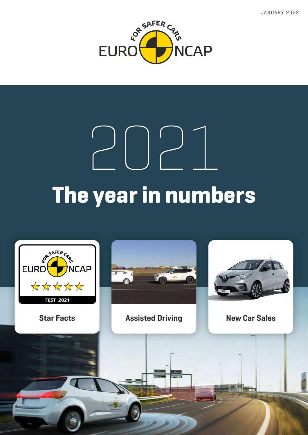JANUARY 2022



# **The year in numbers** 2021

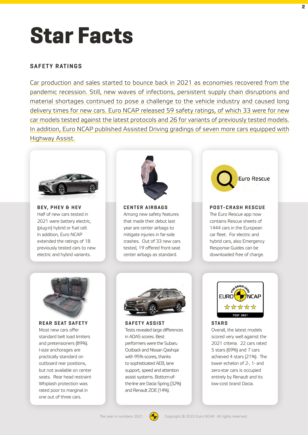### **Star Facts**

#### **SAFETY RATINGS**

Car production and sales started to bounce back in 2021 as economies recovered from the pandemic recession. Still, new waves of infections, persistent supply chain disruptions and material shortages continued to pose a challenge to the vehicle industry and caused long delivery times for new cars. Euro NCAP released 59 safety ratings, of which 33 were for new car models tested against the latest protocols and 26 for variants of previously tested models. In addition, Euro NCAP published Assisted Driving gradings of seven more cars equipped with Highway Assist.



**BEV, PHEV & HEV** Half of new cars tested in 2021 were battery electric, (plug-in) hybrid or fuel cell. In addition, Euro NCAP extended the ratings of 18 [previously tested cars to new](https://www.euroncap.com/en/ratings-rewards/electric-vehicles/)  electric and hybrid variants.



**CENTER AIRBAGS** Among new safety features that made their debut last year are center airbags to mitigate injuries in far-side [crashes. Out of 33 new cars](https://www.euroncap.com/en/vehicle-safety/the-ratings-explained/adult-occupant-protection/lateral-impact/far-side-impact/)  tested, 19 offered front-seat center airbags as standard.



#### **POST-CRASH RESCUE**

The Euro Rescue app now contains Rescue sheets of 1444 cars in the European car fleet. For electric and hybrid cars, also Emergency Response Guides can be downloaded free of charge.



**[REAR SEAT SAFETY](https://www.euroncap.com/en/vehicle-safety/the-ratings-explained/child-occupant-protection/crs-performance/)** Most new cars offer standard belt load limiters and pretensioners (89%). I-size anchorages are practically standard on outboard rear positions, but not available on center seats. Rear head restraint Whiplash protection was rated poor to marginal in one out of three cars.



**SAFETY ASSIST** [Tests revealed large differences](https://www.euroncap.com/en/vehicle-safety/the-ratings-explained/safety-assist/)  in ADAS scores. Best performers were the Subaru Outback and Nissan Qashqai with 95% scores, thanks to sophisticated AEB, lane support, speed and attention assist systems. Bottom-ofthe-line are Dacia Spring (32%) and Renault ZOE (14%).



**STARS** Overall, the latest models scored very well against the 2021 criteria. 22 cars rated 5 stars (69%) and 7 cars [achieved 4 stars \(21%\). The](https://www.euroncap.com/en/ratings-rewards/latest-safety-ratings/)  lower echelon of 2-, 1- and zero-star cars is occupied entirely by Renault and its low-cost brand Dacia.

**2**